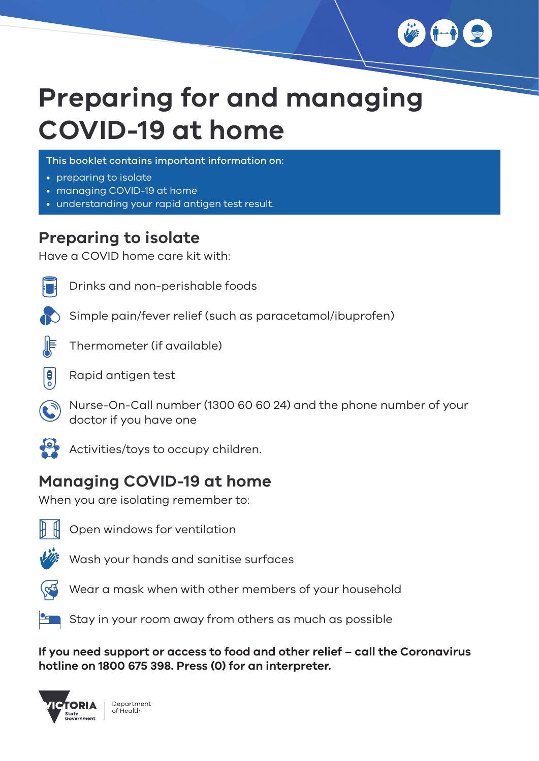

# **Preparing for and managing COVID-19 at home**

This booklet contains important information on:

- preparing to isolate
- managing COVID-19 at home
- understanding your rapid antigen test result.

### **Preparing to isolate**

Have a COVID home care kit with:



Drinks and non-perishable foods



Thermometer (if available)



 $\mathbf{B}$ 

Rapid antigen test

Nurse-On-Call number (1300 60 60 24) and the phone number of your doctor if you have one



Activities/toys to occupy children.

## **Managing COVID-19 at home**

When you are isolating remember to:



Open windows for ventilation



Wash your hands and sanitise surfaces



Wear a mask when with other members of your household



 $\blacksquare$  Stay in your room away from others as much as possible

**If you need support or access to food and other relief – call the Coronavirus hotline on 1800 675 398. Press (0) for an interpreter.** 

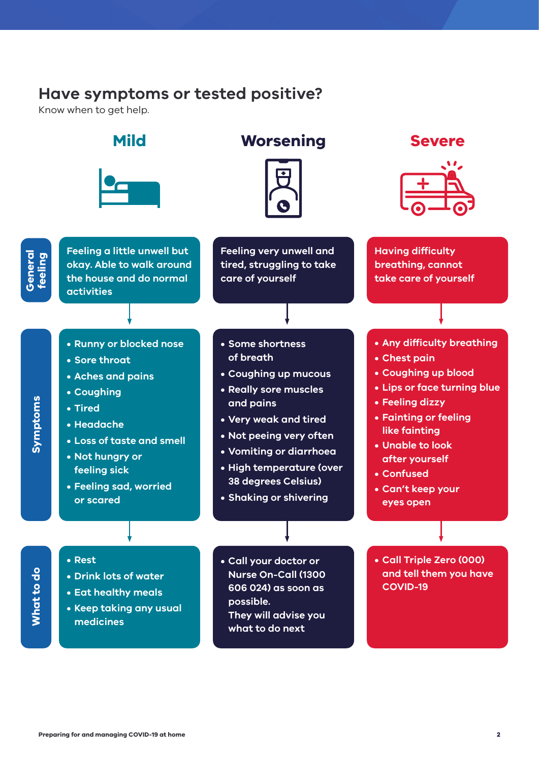#### **Have symptoms or tested positive?**

Know when to get help.

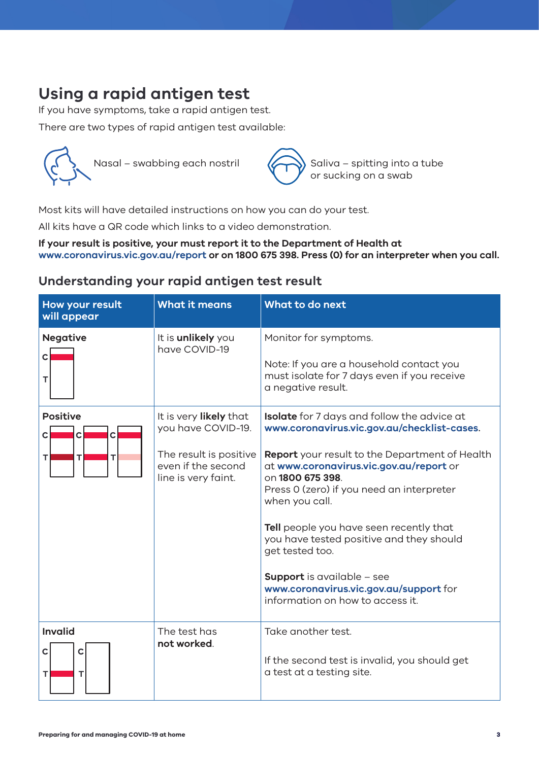# **Using a rapid antigen test**

If you have symptoms, take a rapid antigen test.

There are two types of rapid antigen test available:





Most kits will have detailed instructions on how you can do your test.

All kits have a QR code which links to a video demonstration.

**If your result is positive, your must report it to the Department of Health at www.coronavirus.vic.gov.au/report or on 1800 675 398. Press (0) for an interpreter when you call.**

#### **Understanding your rapid antigen test result**

| How your result<br>will appear                            | <b>What it means</b>                                                                                                | What to do next                                                                                                                                                                                                                                                                                                                                                                                                                                                                                                |
|-----------------------------------------------------------|---------------------------------------------------------------------------------------------------------------------|----------------------------------------------------------------------------------------------------------------------------------------------------------------------------------------------------------------------------------------------------------------------------------------------------------------------------------------------------------------------------------------------------------------------------------------------------------------------------------------------------------------|
| <b>Negative</b><br>С<br>т                                 | It is <b>unlikely</b> you<br>have COVID-19                                                                          | Monitor for symptoms.<br>Note: If you are a household contact you<br>must isolate for 7 days even if you receive<br>a negative result.                                                                                                                                                                                                                                                                                                                                                                         |
| <b>Positive</b><br>C<br>$\mathsf{C}$<br>С<br>т<br>т<br>TI | It is very likely that<br>you have COVID-19.<br>The result is positive<br>even if the second<br>line is very faint. | <b>Isolate</b> for 7 days and follow the advice at<br>www.coronavirus.vic.gov.au/checklist-cases.<br>Report your result to the Department of Health<br>at www.coronavirus.vic.gov.au/report or<br>on 1800 675 398.<br>Press 0 (zero) if you need an interpreter<br>when you call.<br>Tell people you have seen recently that<br>you have tested positive and they should<br>get tested too.<br><b>Support</b> is available - see<br>www.coronavirus.vic.gov.au/support for<br>information on how to access it. |
| <b>Invalid</b><br>C<br>С<br>т<br>т                        | The test has<br>not worked.                                                                                         | Take another test.<br>If the second test is invalid, you should get<br>a test at a testing site.                                                                                                                                                                                                                                                                                                                                                                                                               |